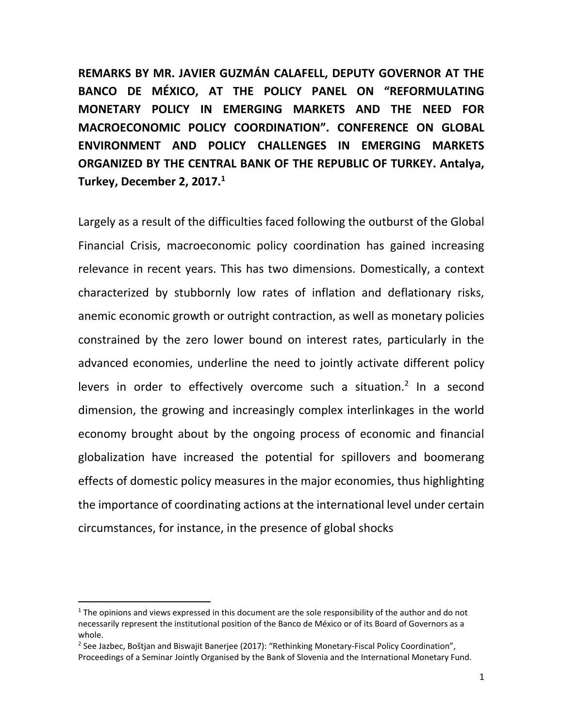**REMARKS BY MR. JAVIER GUZMÁN CALAFELL, DEPUTY GOVERNOR AT THE BANCO DE MÉXICO, AT THE POLICY PANEL ON "REFORMULATING MONETARY POLICY IN EMERGING MARKETS AND THE NEED FOR MACROECONOMIC POLICY COORDINATION". CONFERENCE ON GLOBAL ENVIRONMENT AND POLICY CHALLENGES IN EMERGING MARKETS ORGANIZED BY THE CENTRAL BANK OF THE REPUBLIC OF TURKEY. Antalya, Turkey, December 2, 2017.<sup>1</sup>**

Largely as a result of the difficulties faced following the outburst of the Global Financial Crisis, macroeconomic policy coordination has gained increasing relevance in recent years. This has two dimensions. Domestically, a context characterized by stubbornly low rates of inflation and deflationary risks, anemic economic growth or outright contraction, as well as monetary policies constrained by the zero lower bound on interest rates, particularly in the advanced economies, underline the need to jointly activate different policy levers in order to effectively overcome such a situation.<sup>2</sup> In a second dimension, the growing and increasingly complex interlinkages in the world economy brought about by the ongoing process of economic and financial globalization have increased the potential for spillovers and boomerang effects of domestic policy measures in the major economies, thus highlighting the importance of coordinating actions at the international level under certain circumstances, for instance, in the presence of global shocks

 $1$  The opinions and views expressed in this document are the sole responsibility of the author and do not necessarily represent the institutional position of the Banco de México or of its Board of Governors as a whole.

<sup>&</sup>lt;sup>2</sup> See Jazbec, Boštjan and Biswajit Banerjee (2017): "Rethinking Monetary-Fiscal Policy Coordination", Proceedings of a Seminar Jointly Organised by the Bank of Slovenia and the International Monetary Fund.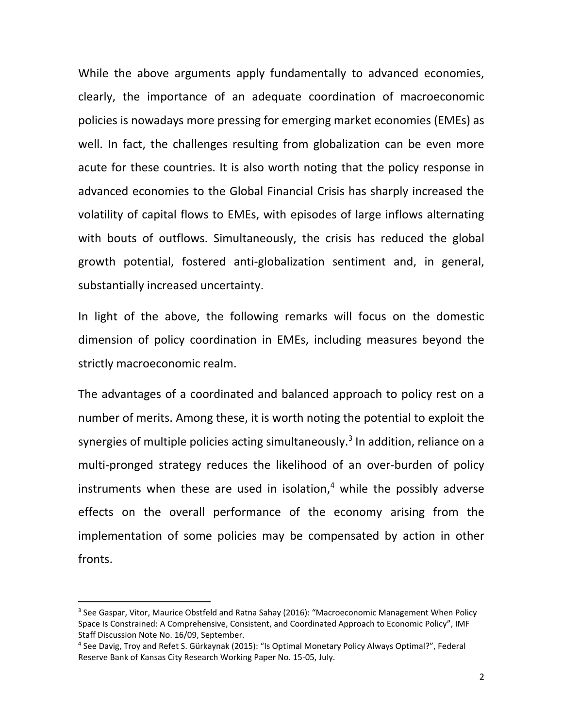While the above arguments apply fundamentally to advanced economies, clearly, the importance of an adequate coordination of macroeconomic policies is nowadays more pressing for emerging market economies (EMEs) as well. In fact, the challenges resulting from globalization can be even more acute for these countries. It is also worth noting that the policy response in advanced economies to the Global Financial Crisis has sharply increased the volatility of capital flows to EMEs, with episodes of large inflows alternating with bouts of outflows. Simultaneously, the crisis has reduced the global growth potential, fostered anti-globalization sentiment and, in general, substantially increased uncertainty.

In light of the above, the following remarks will focus on the domestic dimension of policy coordination in EMEs, including measures beyond the strictly macroeconomic realm.

The advantages of a coordinated and balanced approach to policy rest on a number of merits. Among these, it is worth noting the potential to exploit the synergies of multiple policies acting simultaneously.<sup>3</sup> In addition, reliance on a multi-pronged strategy reduces the likelihood of an over-burden of policy instruments when these are used in isolation, $4$  while the possibly adverse effects on the overall performance of the economy arising from the implementation of some policies may be compensated by action in other fronts.

<sup>&</sup>lt;sup>3</sup> See Gaspar, Vitor, Maurice Obstfeld and Ratna Sahay (2016): "Macroeconomic Management When Policy Space Is Constrained: A Comprehensive, Consistent, and Coordinated Approach to Economic Policy", IMF Staff Discussion Note No. 16/09, September.

<sup>4</sup> See Davig, Troy and Refet S. Gürkaynak (2015): "Is Optimal Monetary Policy Always Optimal?", Federal Reserve Bank of Kansas City Research Working Paper No. 15-05, July.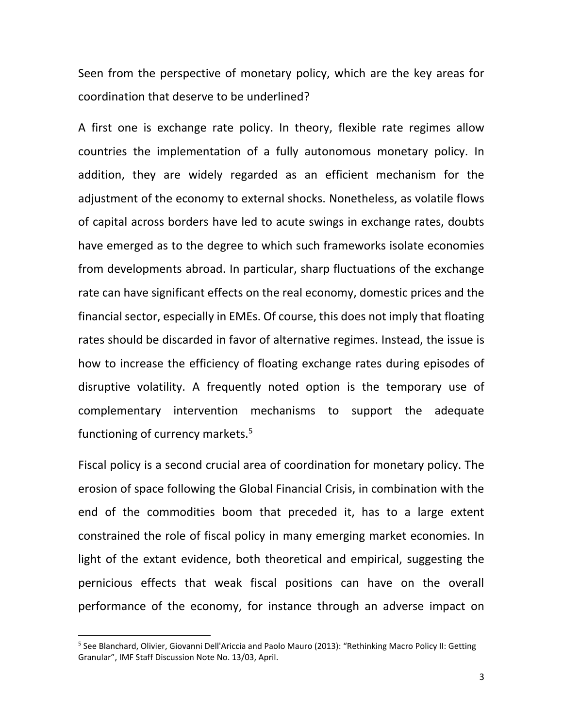Seen from the perspective of monetary policy, which are the key areas for coordination that deserve to be underlined?

A first one is exchange rate policy. In theory, flexible rate regimes allow countries the implementation of a fully autonomous monetary policy. In addition, they are widely regarded as an efficient mechanism for the adjustment of the economy to external shocks. Nonetheless, as volatile flows of capital across borders have led to acute swings in exchange rates, doubts have emerged as to the degree to which such frameworks isolate economies from developments abroad. In particular, sharp fluctuations of the exchange rate can have significant effects on the real economy, domestic prices and the financial sector, especially in EMEs. Of course, this does not imply that floating rates should be discarded in favor of alternative regimes. Instead, the issue is how to increase the efficiency of floating exchange rates during episodes of disruptive volatility. A frequently noted option is the temporary use of complementary intervention mechanisms to support the adequate functioning of currency markets.<sup>5</sup>

Fiscal policy is a second crucial area of coordination for monetary policy. The erosion of space following the Global Financial Crisis, in combination with the end of the commodities boom that preceded it, has to a large extent constrained the role of fiscal policy in many emerging market economies. In light of the extant evidence, both theoretical and empirical, suggesting the pernicious effects that weak fiscal positions can have on the overall performance of the economy, for instance through an adverse impact on

<sup>&</sup>lt;sup>5</sup> See Blanchard, Olivier, Giovanni Dell'Ariccia and Paolo Mauro (2013): "Rethinking Macro Policy II: Getting Granular", IMF Staff Discussion Note No. 13/03, April.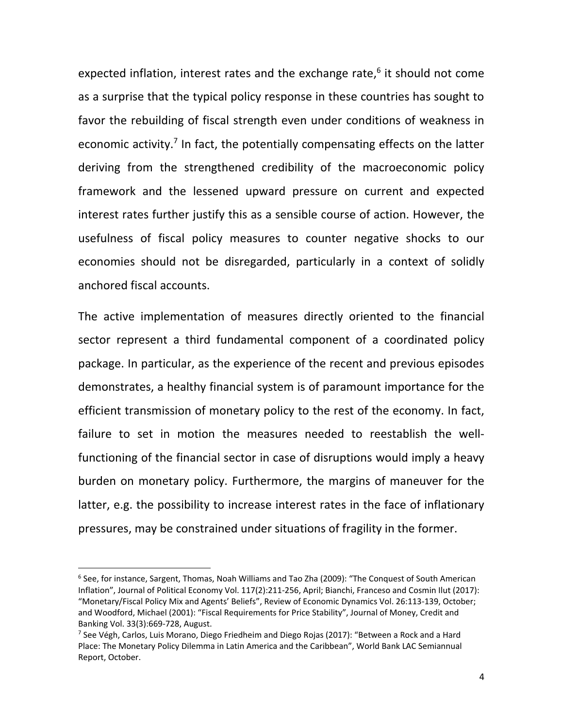expected inflation, interest rates and the exchange rate, 6 it should not come as a surprise that the typical policy response in these countries has sought to favor the rebuilding of fiscal strength even under conditions of weakness in economic activity.<sup>7</sup> In fact, the potentially compensating effects on the latter deriving from the strengthened credibility of the macroeconomic policy framework and the lessened upward pressure on current and expected interest rates further justify this as a sensible course of action. However, the usefulness of fiscal policy measures to counter negative shocks to our economies should not be disregarded, particularly in a context of solidly anchored fiscal accounts.

The active implementation of measures directly oriented to the financial sector represent a third fundamental component of a coordinated policy package. In particular, as the experience of the recent and previous episodes demonstrates, a healthy financial system is of paramount importance for the efficient transmission of monetary policy to the rest of the economy. In fact, failure to set in motion the measures needed to reestablish the wellfunctioning of the financial sector in case of disruptions would imply a heavy burden on monetary policy. Furthermore, the margins of maneuver for the latter, e.g. the possibility to increase interest rates in the face of inflationary pressures, may be constrained under situations of fragility in the former.

 $\ddot{\phantom{a}}$ 

<sup>6</sup> See, for instance, Sargent, Thomas, Noah Williams and Tao Zha (2009): "The Conquest of South American Inflation", Journal of Political Economy Vol. 117(2):211-256, April; Bianchi, Franceso and Cosmin Ilut (2017): "Monetary/Fiscal Policy Mix and Agents' Beliefs", Review of Economic Dynamics Vol. 26:113-139, October; and Woodford, Michael (2001): "Fiscal Requirements for Price Stability", Journal of Money, Credit and Banking Vol. 33(3):669-728, August.

<sup>&</sup>lt;sup>7</sup> See Végh, Carlos, Luis Morano, Diego Friedheim and Diego Rojas (2017): "Between a Rock and a Hard Place: The Monetary Policy Dilemma in Latin America and the Caribbean", World Bank LAC Semiannual Report, October.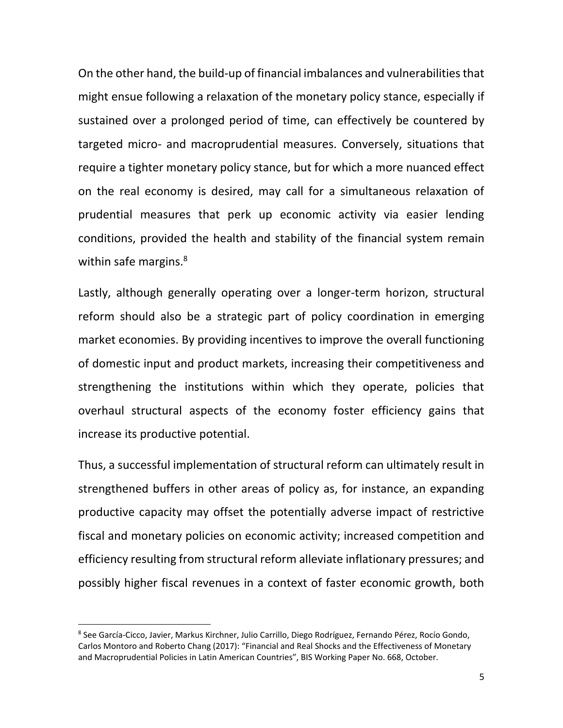On the other hand, the build-up of financial imbalances and vulnerabilities that might ensue following a relaxation of the monetary policy stance, especially if sustained over a prolonged period of time, can effectively be countered by targeted micro- and macroprudential measures. Conversely, situations that require a tighter monetary policy stance, but for which a more nuanced effect on the real economy is desired, may call for a simultaneous relaxation of prudential measures that perk up economic activity via easier lending conditions, provided the health and stability of the financial system remain within safe margins.<sup>8</sup>

Lastly, although generally operating over a longer-term horizon, structural reform should also be a strategic part of policy coordination in emerging market economies. By providing incentives to improve the overall functioning of domestic input and product markets, increasing their competitiveness and strengthening the institutions within which they operate, policies that overhaul structural aspects of the economy foster efficiency gains that increase its productive potential.

Thus, a successful implementation of structural reform can ultimately result in strengthened buffers in other areas of policy as, for instance, an expanding productive capacity may offset the potentially adverse impact of restrictive fiscal and monetary policies on economic activity; increased competition and efficiency resulting from structural reform alleviate inflationary pressures; and possibly higher fiscal revenues in a context of faster economic growth, both

<sup>8</sup> See García-Cicco, Javier, Markus Kirchner, Julio Carrillo, Diego Rodríguez, Fernando Pérez, Rocío Gondo, Carlos Montoro and Roberto Chang (2017): "Financial and Real Shocks and the Effectiveness of Monetary and Macroprudential Policies in Latin American Countries", BIS Working Paper No. 668, October.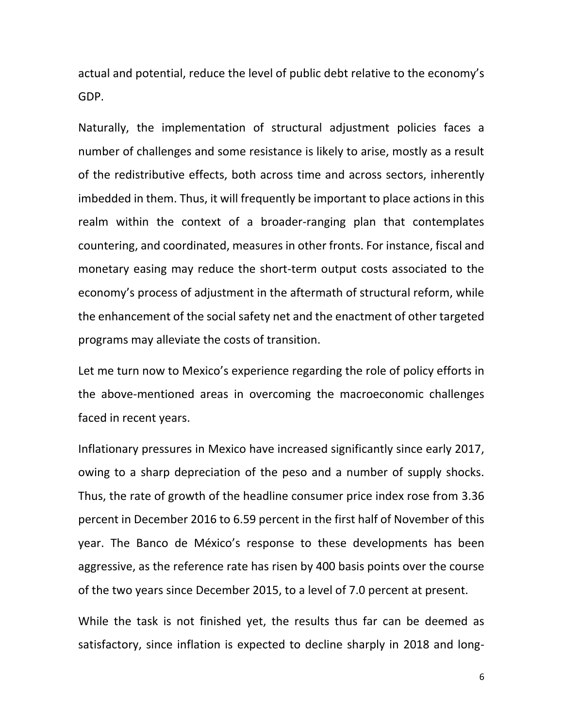actual and potential, reduce the level of public debt relative to the economy's GDP.

Naturally, the implementation of structural adjustment policies faces a number of challenges and some resistance is likely to arise, mostly as a result of the redistributive effects, both across time and across sectors, inherently imbedded in them. Thus, it will frequently be important to place actions in this realm within the context of a broader-ranging plan that contemplates countering, and coordinated, measures in other fronts. For instance, fiscal and monetary easing may reduce the short-term output costs associated to the economy's process of adjustment in the aftermath of structural reform, while the enhancement of the social safety net and the enactment of other targeted programs may alleviate the costs of transition.

Let me turn now to Mexico's experience regarding the role of policy efforts in the above-mentioned areas in overcoming the macroeconomic challenges faced in recent years.

Inflationary pressures in Mexico have increased significantly since early 2017, owing to a sharp depreciation of the peso and a number of supply shocks. Thus, the rate of growth of the headline consumer price index rose from 3.36 percent in December 2016 to 6.59 percent in the first half of November of this year. The Banco de México's response to these developments has been aggressive, as the reference rate has risen by 400 basis points over the course of the two years since December 2015, to a level of 7.0 percent at present.

While the task is not finished yet, the results thus far can be deemed as satisfactory, since inflation is expected to decline sharply in 2018 and long-

6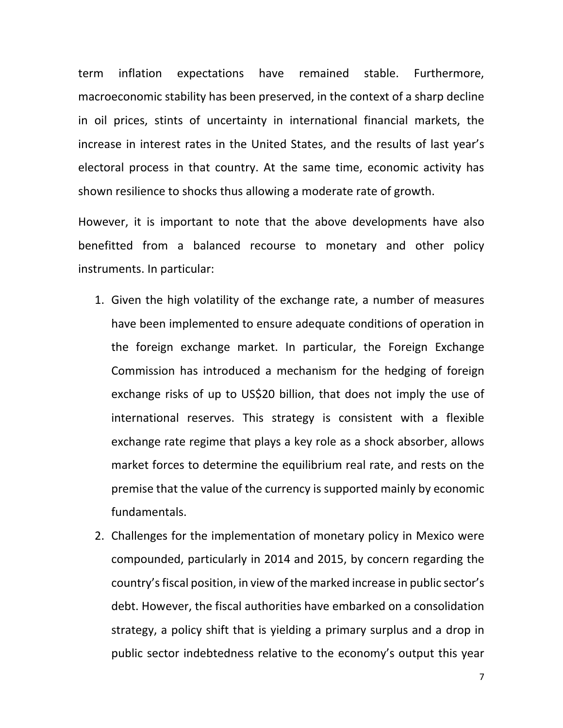term inflation expectations have remained stable. Furthermore, macroeconomic stability has been preserved, in the context of a sharp decline in oil prices, stints of uncertainty in international financial markets, the increase in interest rates in the United States, and the results of last year's electoral process in that country. At the same time, economic activity has shown resilience to shocks thus allowing a moderate rate of growth.

However, it is important to note that the above developments have also benefitted from a balanced recourse to monetary and other policy instruments. In particular:

- 1. Given the high volatility of the exchange rate, a number of measures have been implemented to ensure adequate conditions of operation in the foreign exchange market. In particular, the Foreign Exchange Commission has introduced a mechanism for the hedging of foreign exchange risks of up to US\$20 billion, that does not imply the use of international reserves. This strategy is consistent with a flexible exchange rate regime that plays a key role as a shock absorber, allows market forces to determine the equilibrium real rate, and rests on the premise that the value of the currency is supported mainly by economic fundamentals.
- 2. Challenges for the implementation of monetary policy in Mexico were compounded, particularly in 2014 and 2015, by concern regarding the country's fiscal position, in view of the marked increase in public sector's debt. However, the fiscal authorities have embarked on a consolidation strategy, a policy shift that is yielding a primary surplus and a drop in public sector indebtedness relative to the economy's output this year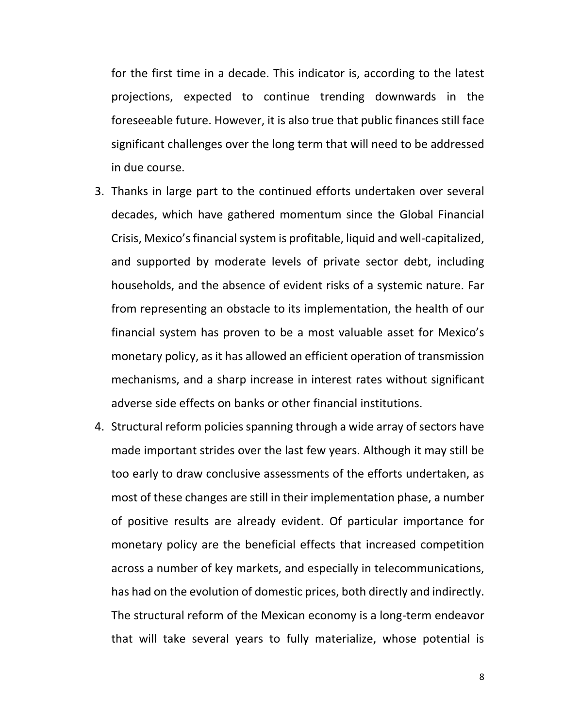for the first time in a decade. This indicator is, according to the latest projections, expected to continue trending downwards in the foreseeable future. However, it is also true that public finances still face significant challenges over the long term that will need to be addressed in due course.

- 3. Thanks in large part to the continued efforts undertaken over several decades, which have gathered momentum since the Global Financial Crisis, Mexico's financial system is profitable, liquid and well-capitalized, and supported by moderate levels of private sector debt, including households, and the absence of evident risks of a systemic nature. Far from representing an obstacle to its implementation, the health of our financial system has proven to be a most valuable asset for Mexico's monetary policy, as it has allowed an efficient operation of transmission mechanisms, and a sharp increase in interest rates without significant adverse side effects on banks or other financial institutions.
- 4. Structural reform policies spanning through a wide array of sectors have made important strides over the last few years. Although it may still be too early to draw conclusive assessments of the efforts undertaken, as most of these changes are still in their implementation phase, a number of positive results are already evident. Of particular importance for monetary policy are the beneficial effects that increased competition across a number of key markets, and especially in telecommunications, has had on the evolution of domestic prices, both directly and indirectly. The structural reform of the Mexican economy is a long-term endeavor that will take several years to fully materialize, whose potential is